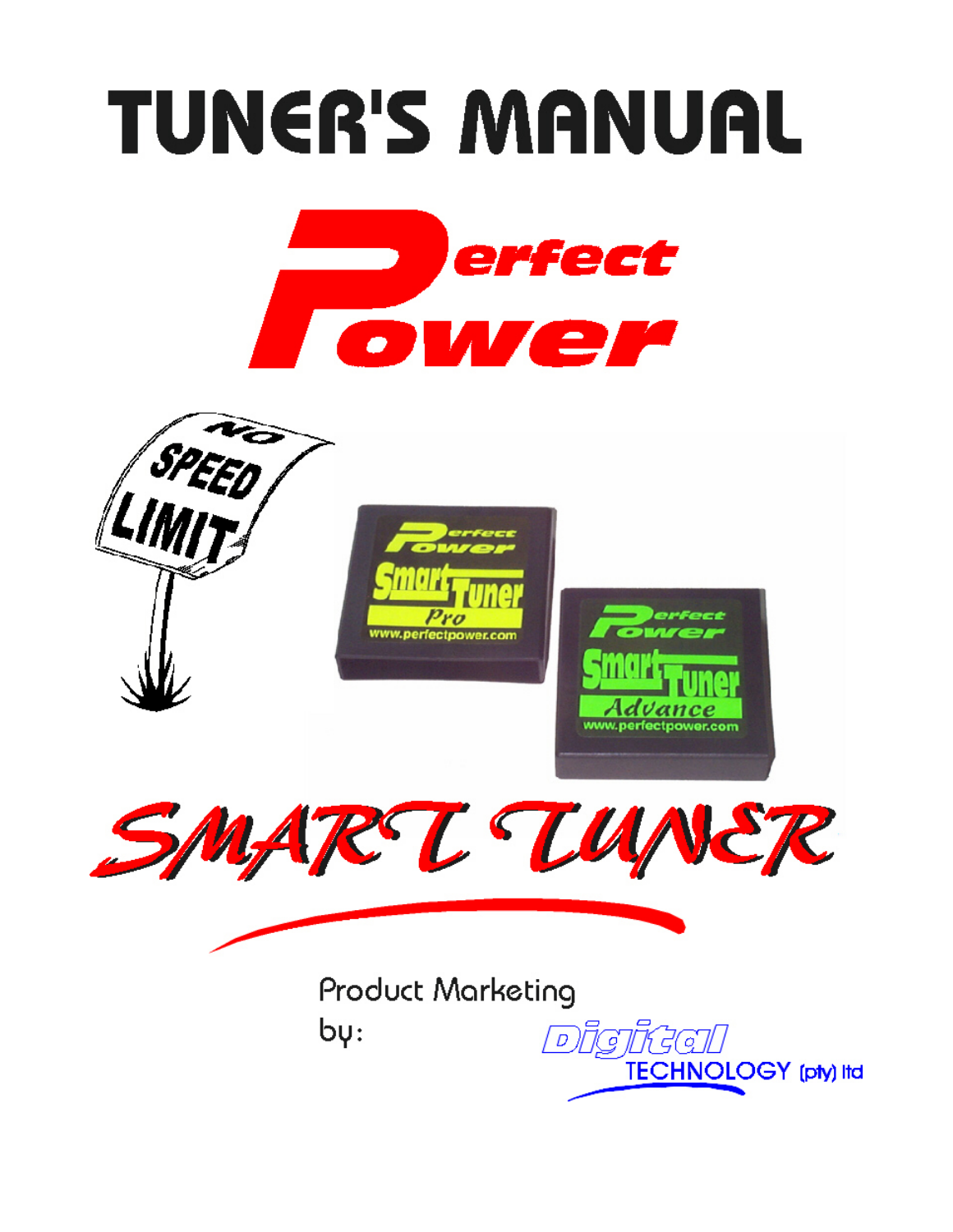# **TUNER'S MANUAL**





**Product Marketing**  $b\psi$ :

Disikal TECHNOLOGY (pty) Itd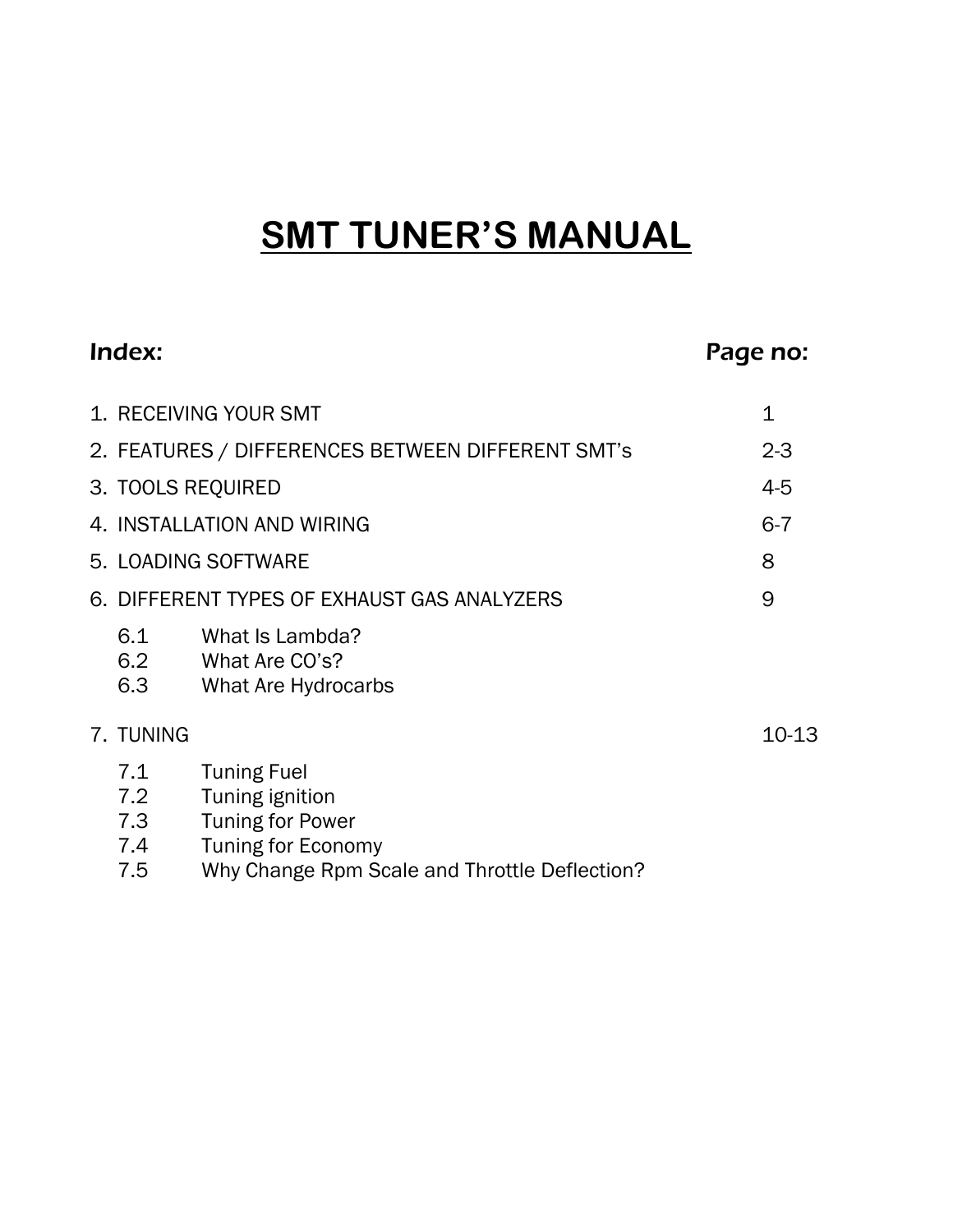## **SMT TUNER'S MANUAL**

|                                 |                                                                                                                                                | Page no:                                                                                                                                       |
|---------------------------------|------------------------------------------------------------------------------------------------------------------------------------------------|------------------------------------------------------------------------------------------------------------------------------------------------|
|                                 |                                                                                                                                                | 1                                                                                                                                              |
|                                 | $2 - 3$                                                                                                                                        |                                                                                                                                                |
|                                 | $4 - 5$                                                                                                                                        |                                                                                                                                                |
| 4. INSTALLATION AND WIRING      |                                                                                                                                                | $6 - 7$                                                                                                                                        |
| 5. LOADING SOFTWARE             |                                                                                                                                                | 8                                                                                                                                              |
|                                 |                                                                                                                                                | 9                                                                                                                                              |
| 6.1<br>6.2<br>6.3               | What Is Lambda?<br>What Are CO's?<br>What Are Hydrocarbs                                                                                       |                                                                                                                                                |
|                                 |                                                                                                                                                | $10-13$                                                                                                                                        |
| 7.1<br>7.2<br>7.3<br>7.4<br>7.5 | <b>Tuning Fuel</b><br>Tuning ignition<br><b>Tuning for Power</b><br><b>Tuning for Economy</b><br>Why Change Rpm Scale and Throttle Deflection? |                                                                                                                                                |
|                                 | Index:<br>7. TUNING                                                                                                                            | 1. RECEIVING YOUR SMT<br>2. FEATURES / DIFFERENCES BETWEEN DIFFERENT SMT's<br>3. TOOLS REQUIRED<br>6. DIFFERENT TYPES OF EXHAUST GAS ANALYZERS |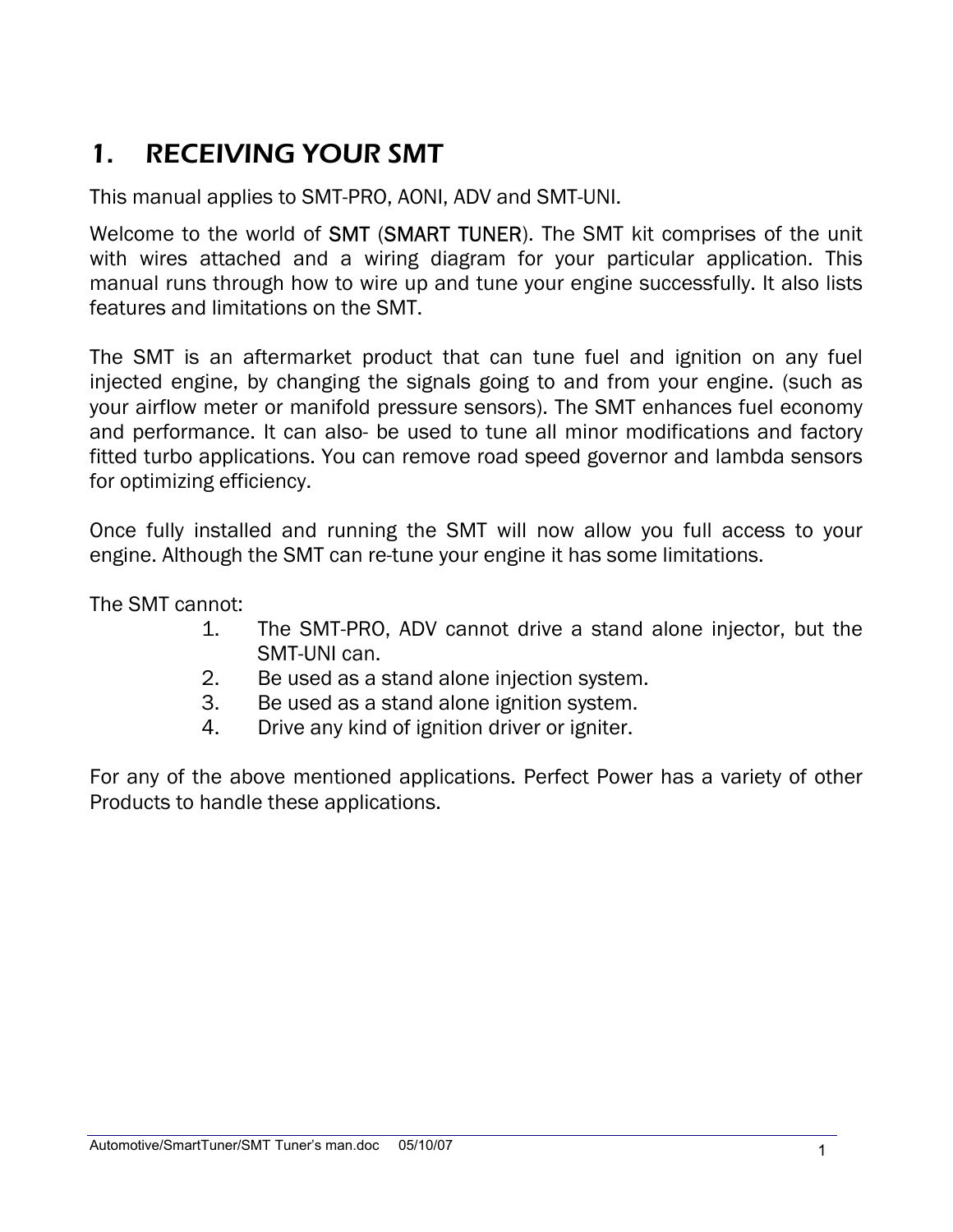## 1. RECEIVING YOUR SMT

This manual applies to SMT-PRO, AONI, ADV and SMT-UNI.

Welcome to the world of SMT (SMART TUNER). The SMT kit comprises of the unit with wires attached and a wiring diagram for your particular application. This manual runs through how to wire up and tune your engine successfully. It also lists features and limitations on the SMT.

The SMT is an aftermarket product that can tune fuel and ignition on any fuel injected engine, by changing the signals going to and from your engine. (such as your airflow meter or manifold pressure sensors). The SMT enhances fuel economy and performance. It can also- be used to tune all minor modifications and factory fitted turbo applications. You can remove road speed governor and lambda sensors for optimizing efficiency.

Once fully installed and running the SMT will now allow you full access to your engine. Although the SMT can re-tune your engine it has some limitations.

The SMT cannot:

- 1. The SMT-PRO, ADV cannot drive a stand alone injector, but the SMT-UNI can.
- 2. Be used as a stand alone injection system.
- 3. Be used as a stand alone ignition system.
- 4. Drive any kind of ignition driver or igniter.

For any of the above mentioned applications. Perfect Power has a variety of other Products to handle these applications.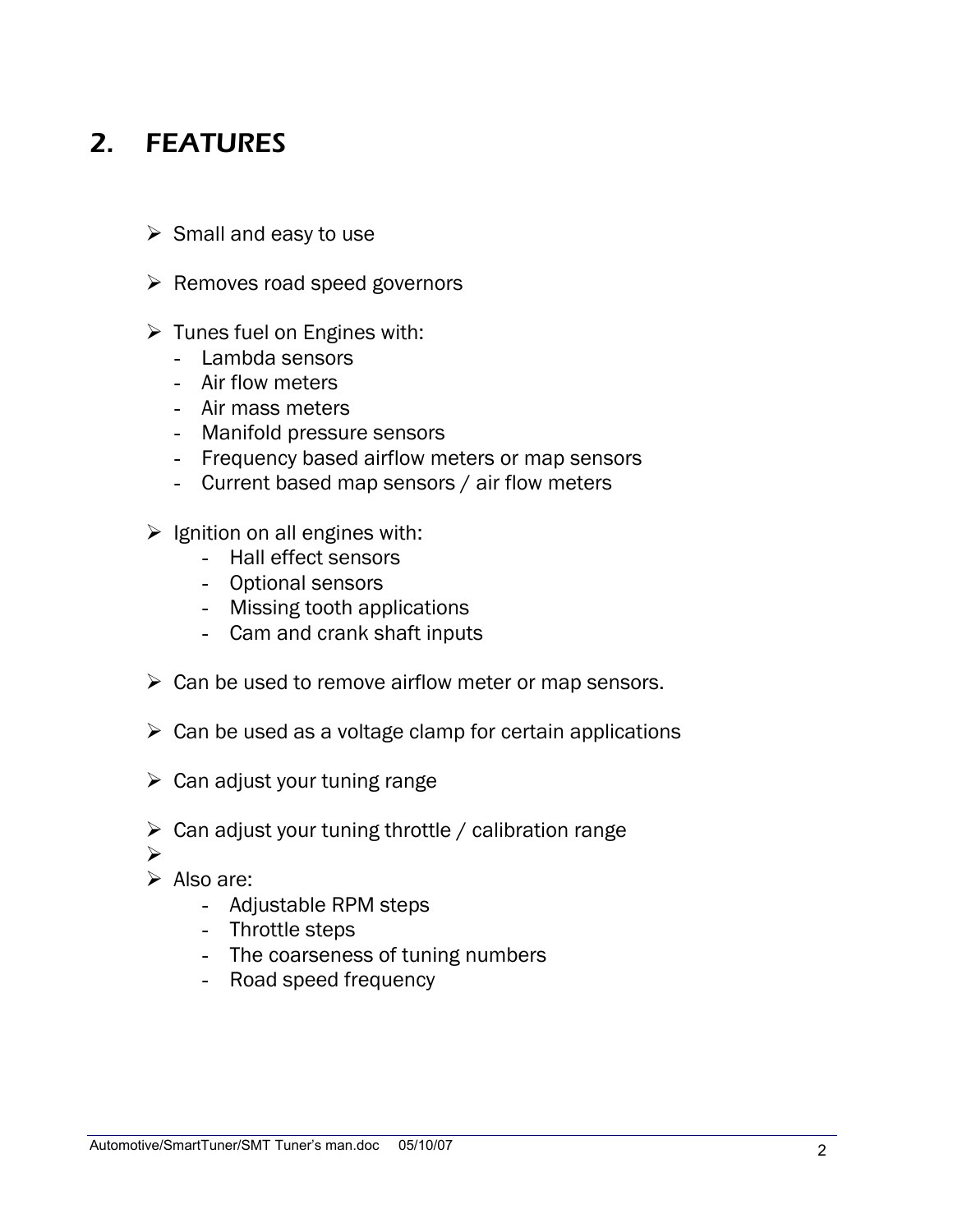## 2. FEATURES

- $\triangleright$  Small and easy to use
- $\triangleright$  Removes road speed governors
- $\triangleright$  Tunes fuel on Engines with:
	- Lambda sensors
	- Air flow meters
	- Air mass meters
	- Manifold pressure sensors
	- Frequency based airflow meters or map sensors
	- Current based map sensors / air flow meters
- $\triangleright$  Ignition on all engines with:
	- Hall effect sensors
	- Optional sensors
	- Missing tooth applications
	- Cam and crank shaft inputs
- $\triangleright$  Can be used to remove airflow meter or map sensors.
- $\triangleright$  Can be used as a voltage clamp for certain applications
- $\triangleright$  Can adjust your tuning range
- $\triangleright$  Can adjust your tuning throttle / calibration range
- ¾
- $\triangleright$  Also are:
	- Adjustable RPM steps
	- Throttle steps
	- The coarseness of tuning numbers
	- Road speed frequency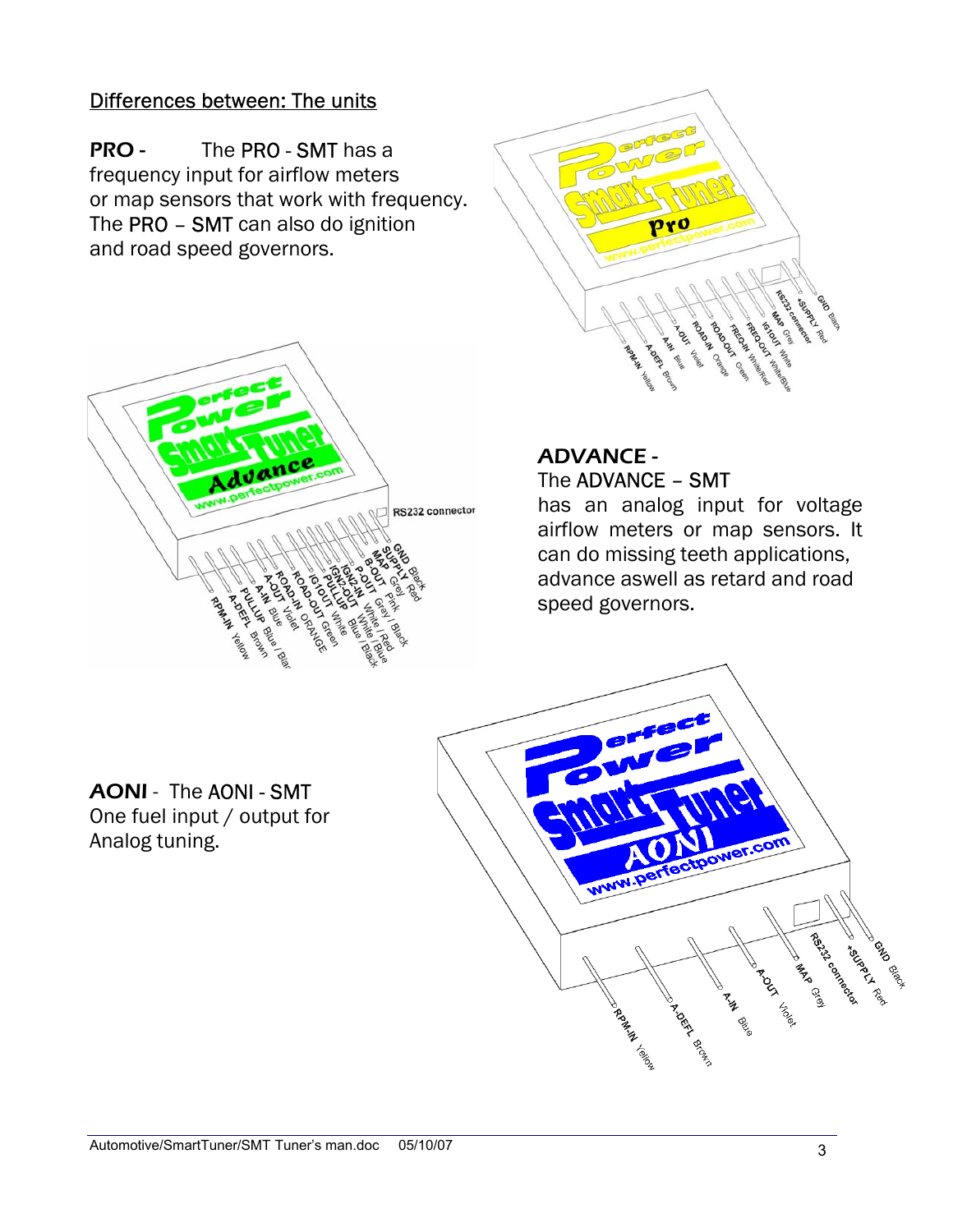#### Differences between: The units

PRO - The PRO - SMT has a frequency input for airflow meters or map sensors that work with frequency. The PRO – SMT can also do ignition and road speed governors.





#### ADVANCE - The ADVANCE – SMT

has an analog input for voltage airflow meters or map sensors. It can do missing teeth applications, advance aswell as retard and road speed governors.

## AONI - The AONI - SMT

One fuel input / output for Analog tuning.

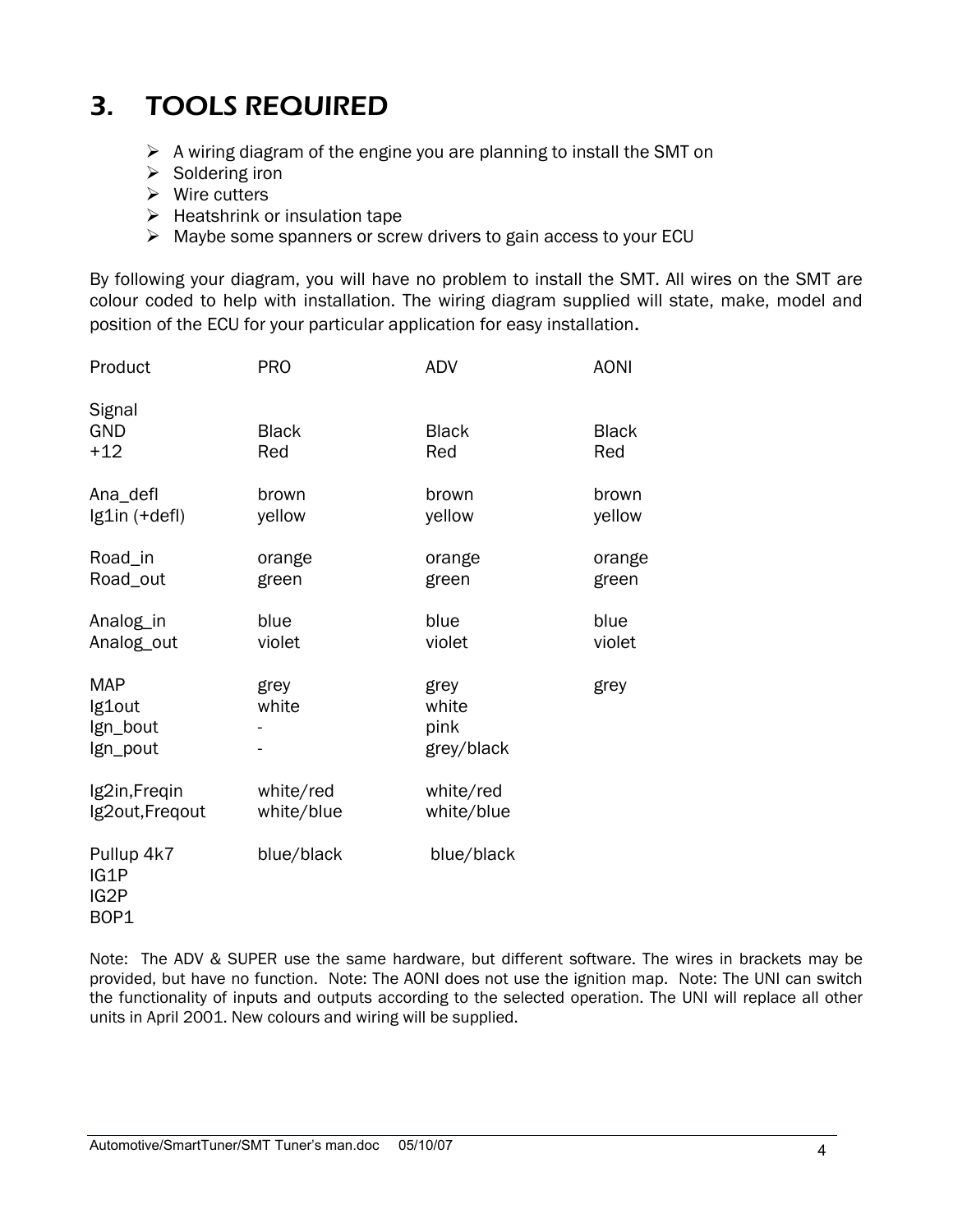## 3. TOOLS REQUIRED

- $\triangleright$  A wiring diagram of the engine you are planning to install the SMT on
- $\triangleright$  Soldering iron
- $\triangleright$  Wire cutters
- $\triangleright$  Heatshrink or insulation tape
- $\triangleright$  Maybe some spanners or screw drivers to gain access to your ECU

By following your diagram, you will have no problem to install the SMT. All wires on the SMT are colour coded to help with installation. The wiring diagram supplied will state, make, model and position of the ECU for your particular application for easy installation.

| Product                                      | <b>PRO</b>          | <b>ADV</b>                          | <b>AONI</b>         |
|----------------------------------------------|---------------------|-------------------------------------|---------------------|
| Signal<br><b>GND</b><br>$+12$                | <b>Black</b><br>Red | <b>Black</b><br>Red                 | <b>Black</b><br>Red |
| Ana_defl                                     | brown               | brown                               | brown               |
| Ig1in (+defl)                                | yellow              | yellow                              | yellow              |
| Road_in                                      | orange              | orange                              | orange              |
| Road_out                                     | green               | green                               | green               |
| Analog_in                                    | blue                | blue                                | blue                |
| Analog_out                                   | violet              | violet                              | violet              |
| <b>MAP</b><br>Ig1out<br>Ign_bout<br>Ign_pout | grey<br>white       | grey<br>white<br>pink<br>grey/black | grey                |
| Ig2in, Freqin                                | white/red           | white/red                           |                     |
| Ig2out, Freqout                              | white/blue          | white/blue                          |                     |
| Pullup 4k7<br>IG1P<br>IG2P<br>BOP1           | blue/black          | blue/black                          |                     |

Note: The ADV & SUPER use the same hardware, but different software. The wires in brackets may be provided, but have no function. Note: The AONI does not use the ignition map. Note: The UNI can switch the functionality of inputs and outputs according to the selected operation. The UNI will replace all other units in April 2001. New colours and wiring will be supplied.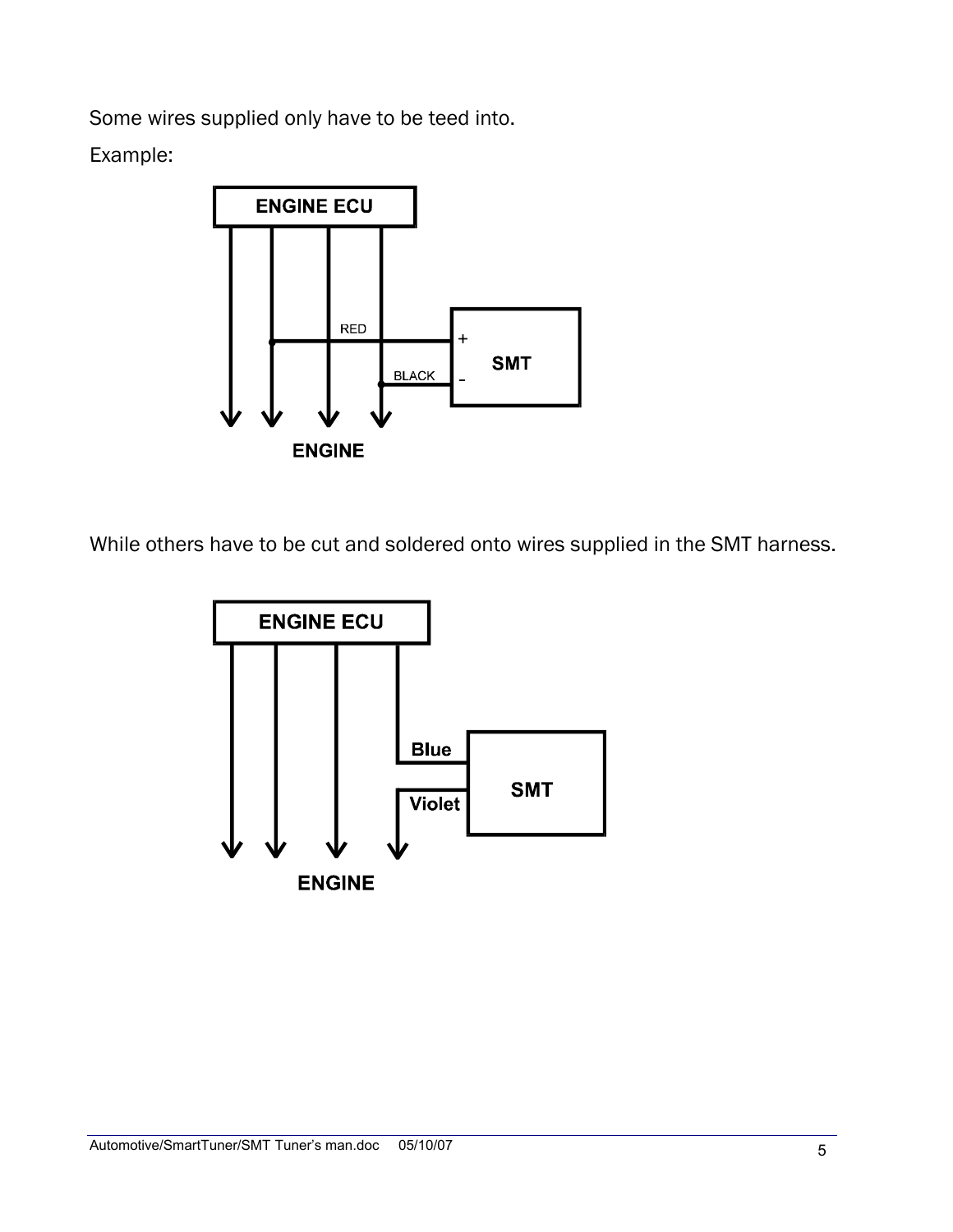Some wires supplied only have to be teed into.

Example:



While others have to be cut and soldered onto wires supplied in the SMT harness.

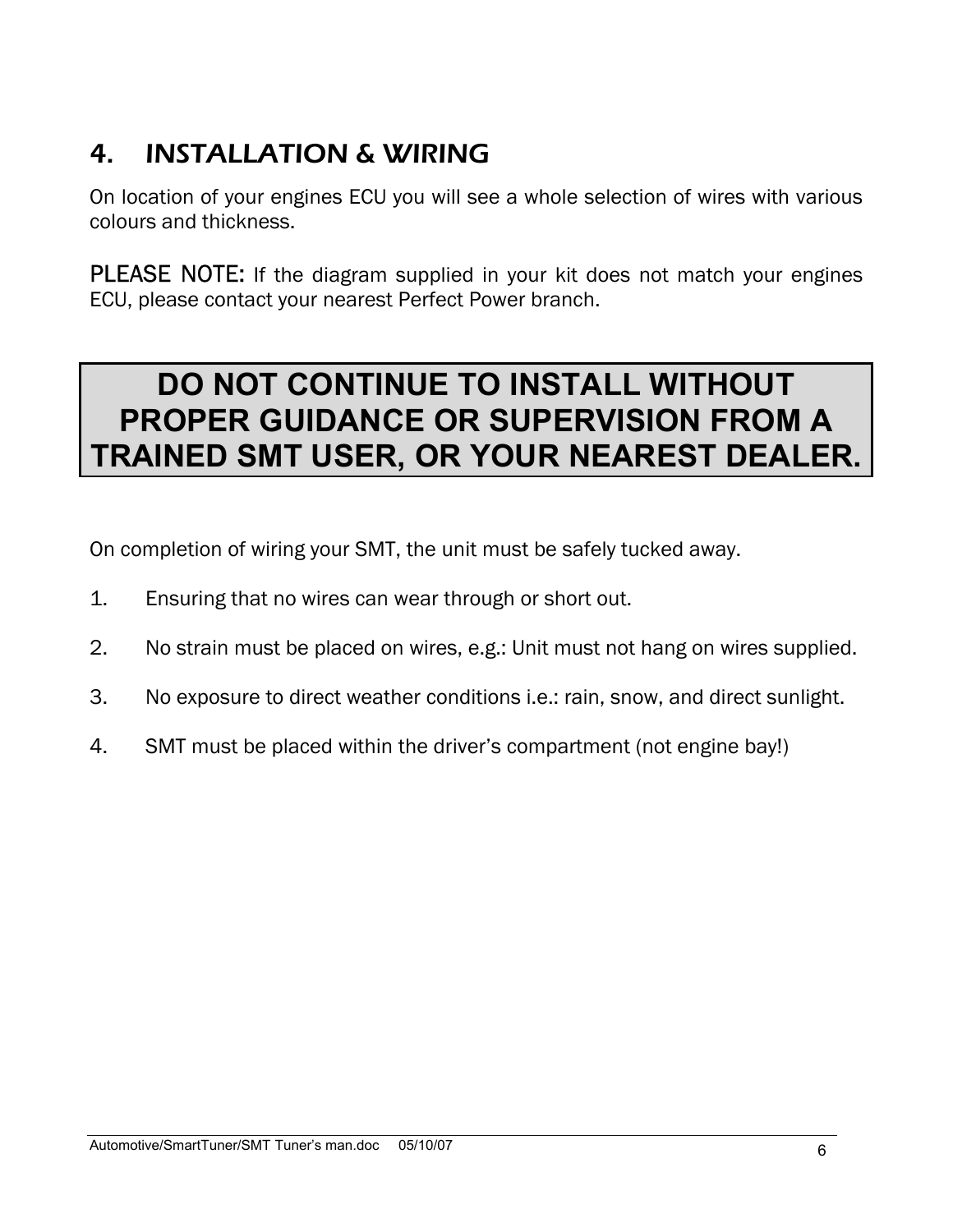## 4. INSTALLATION & WIRING

On location of your engines ECU you will see a whole selection of wires with various colours and thickness.

PLEASE NOTE: If the diagram supplied in your kit does not match your engines ECU, please contact your nearest Perfect Power branch.

## **DO NOT CONTINUE TO INSTALL WITHOUT PROPER GUIDANCE OR SUPERVISION FROM A TRAINED SMT USER, OR YOUR NEAREST DEALER.**

On completion of wiring your SMT, the unit must be safely tucked away.

- 1. Ensuring that no wires can wear through or short out.
- 2. No strain must be placed on wires, e.g.: Unit must not hang on wires supplied.
- 3. No exposure to direct weather conditions i.e.: rain, snow, and direct sunlight.
- 4. SMT must be placed within the driver's compartment (not engine bay!)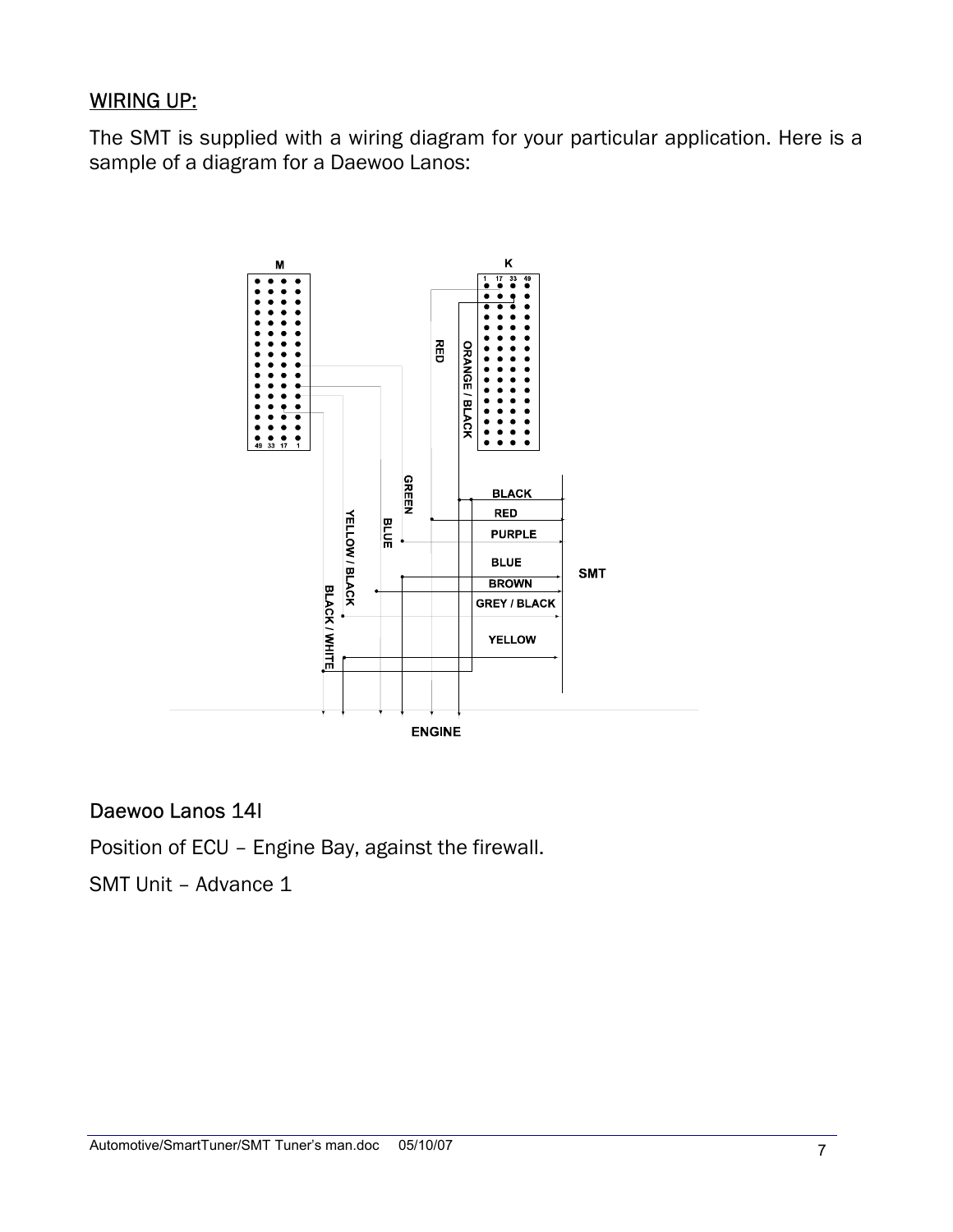#### WIRING UP:

The SMT is supplied with a wiring diagram for your particular application. Here is a sample of a diagram for a Daewoo Lanos:



#### Daewoo Lanos 14I

Position of ECU – Engine Bay, against the firewall.

SMT Unit – Advance 1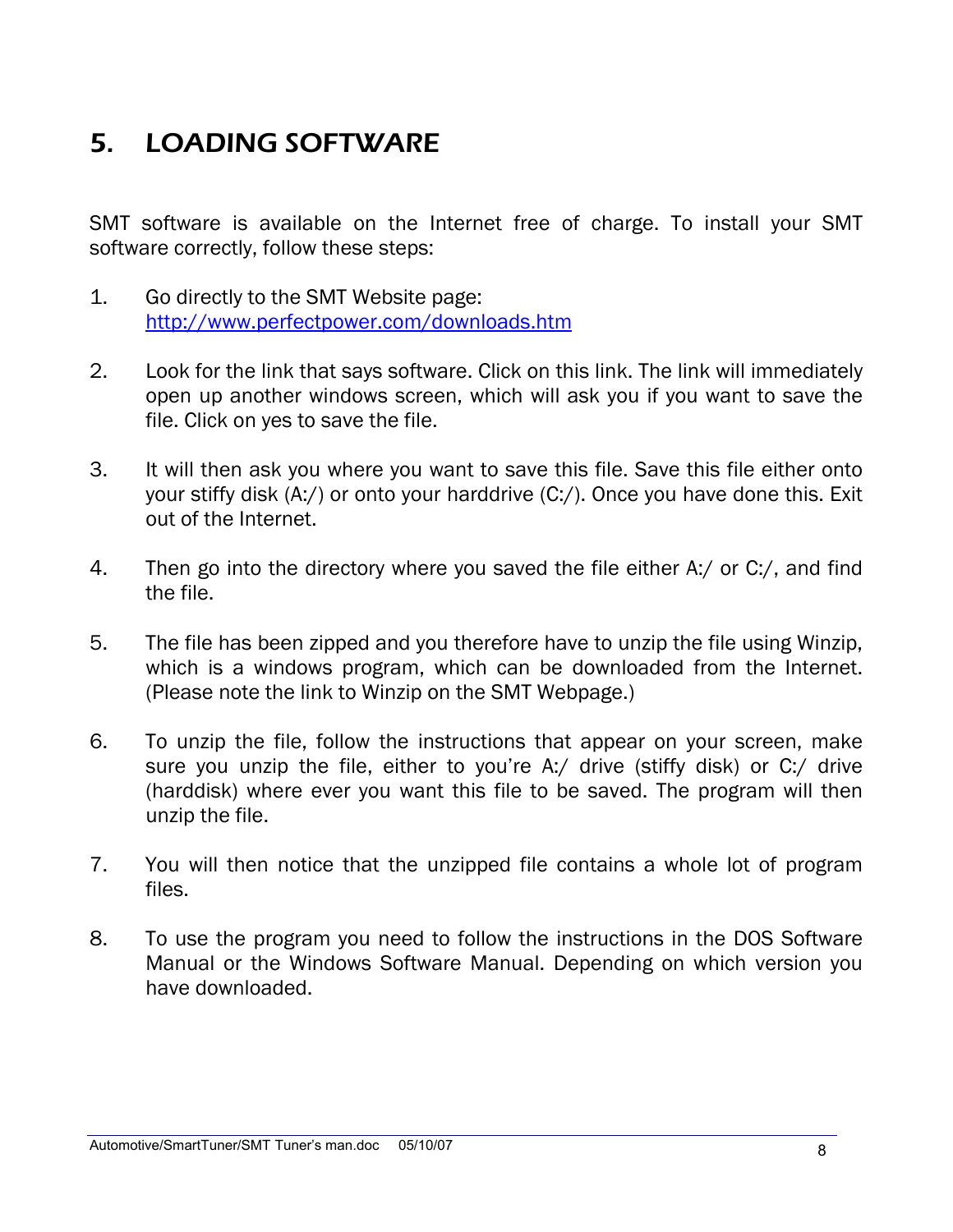## 5. LOADING SOFTWARE

SMT software is available on the Internet free of charge. To install your SMT software correctly, follow these steps:

- 1. Go directly to the SMT Website page: <http://www.perfectpower.com/downloads.htm>
- 2. Look for the link that says software. Click on this link. The link will immediately open up another windows screen, which will ask you if you want to save the file. Click on yes to save the file.
- 3. It will then ask you where you want to save this file. Save this file either onto your stiffy disk (A:/) or onto your harddrive (C:/). Once you have done this. Exit out of the Internet.
- 4. Then go into the directory where you saved the file either A:/ or C:/, and find the file.
- 5. The file has been zipped and you therefore have to unzip the file using Winzip, which is a windows program, which can be downloaded from the Internet. (Please note the link to Winzip on the SMT Webpage.)
- 6. To unzip the file, follow the instructions that appear on your screen, make sure you unzip the file, either to you're A:/ drive (stiffy disk) or C:/ drive (harddisk) where ever you want this file to be saved. The program will then unzip the file.
- 7. You will then notice that the unzipped file contains a whole lot of program files.
- 8. To use the program you need to follow the instructions in the DOS Software Manual or the Windows Software Manual. Depending on which version you have downloaded.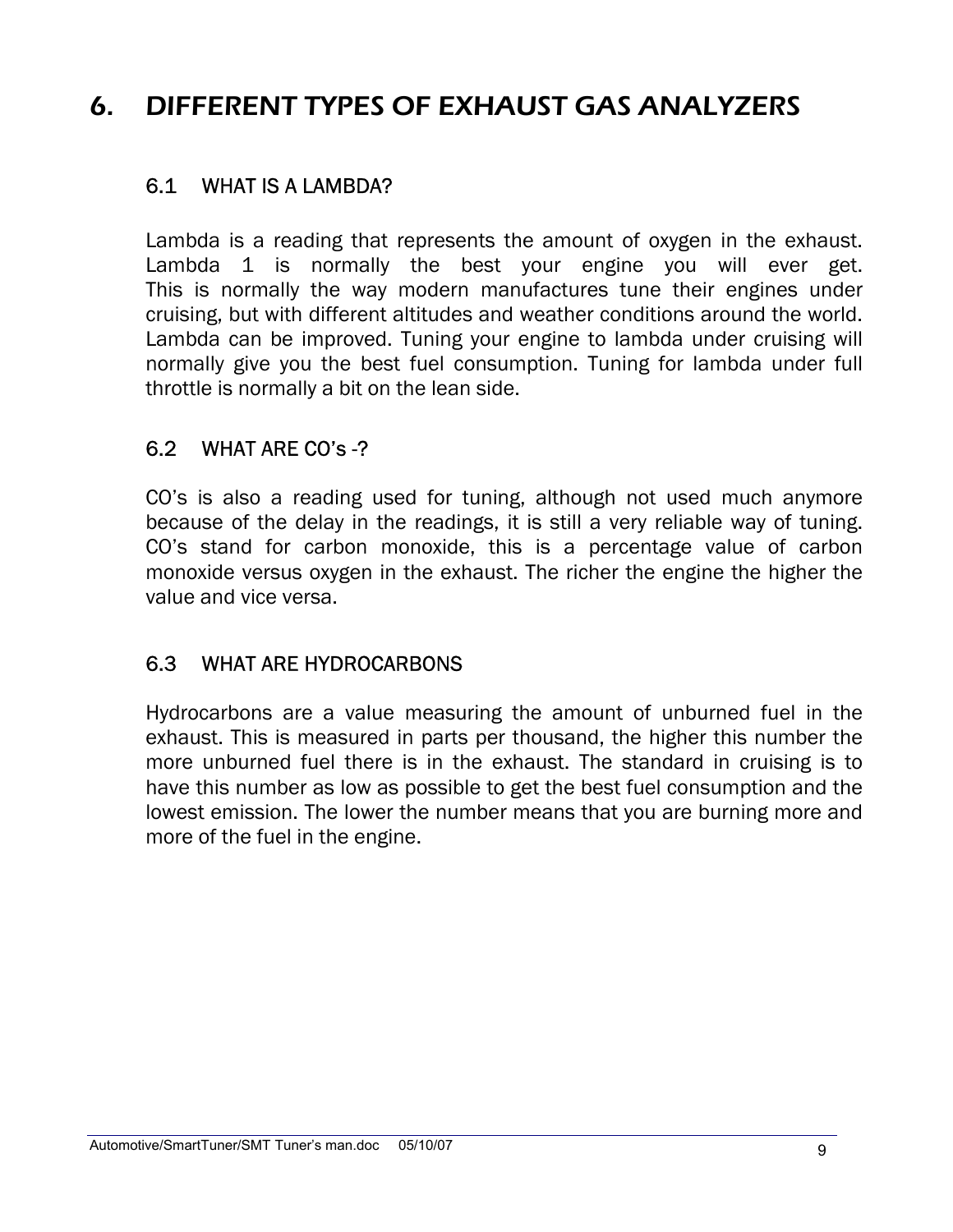## 6. DIFFERENT TYPES OF EXHAUST GAS ANALYZERS

### 6.1 WHAT IS A LAMBDA?

Lambda is a reading that represents the amount of oxygen in the exhaust. Lambda 1 is normally the best your engine you will ever get. This is normally the way modern manufactures tune their engines under cruising, but with different altitudes and weather conditions around the world. Lambda can be improved. Tuning your engine to lambda under cruising will normally give you the best fuel consumption. Tuning for lambda under full throttle is normally a bit on the lean side.

#### 6.2 WHAT ARE CO's -?

CO's is also a reading used for tuning, although not used much anymore because of the delay in the readings, it is still a very reliable way of tuning. CO's stand for carbon monoxide, this is a percentage value of carbon monoxide versus oxygen in the exhaust. The richer the engine the higher the value and vice versa.

#### 6.3 WHAT ARE HYDROCARBONS

Hydrocarbons are a value measuring the amount of unburned fuel in the exhaust. This is measured in parts per thousand, the higher this number the more unburned fuel there is in the exhaust. The standard in cruising is to have this number as low as possible to get the best fuel consumption and the lowest emission. The lower the number means that you are burning more and more of the fuel in the engine.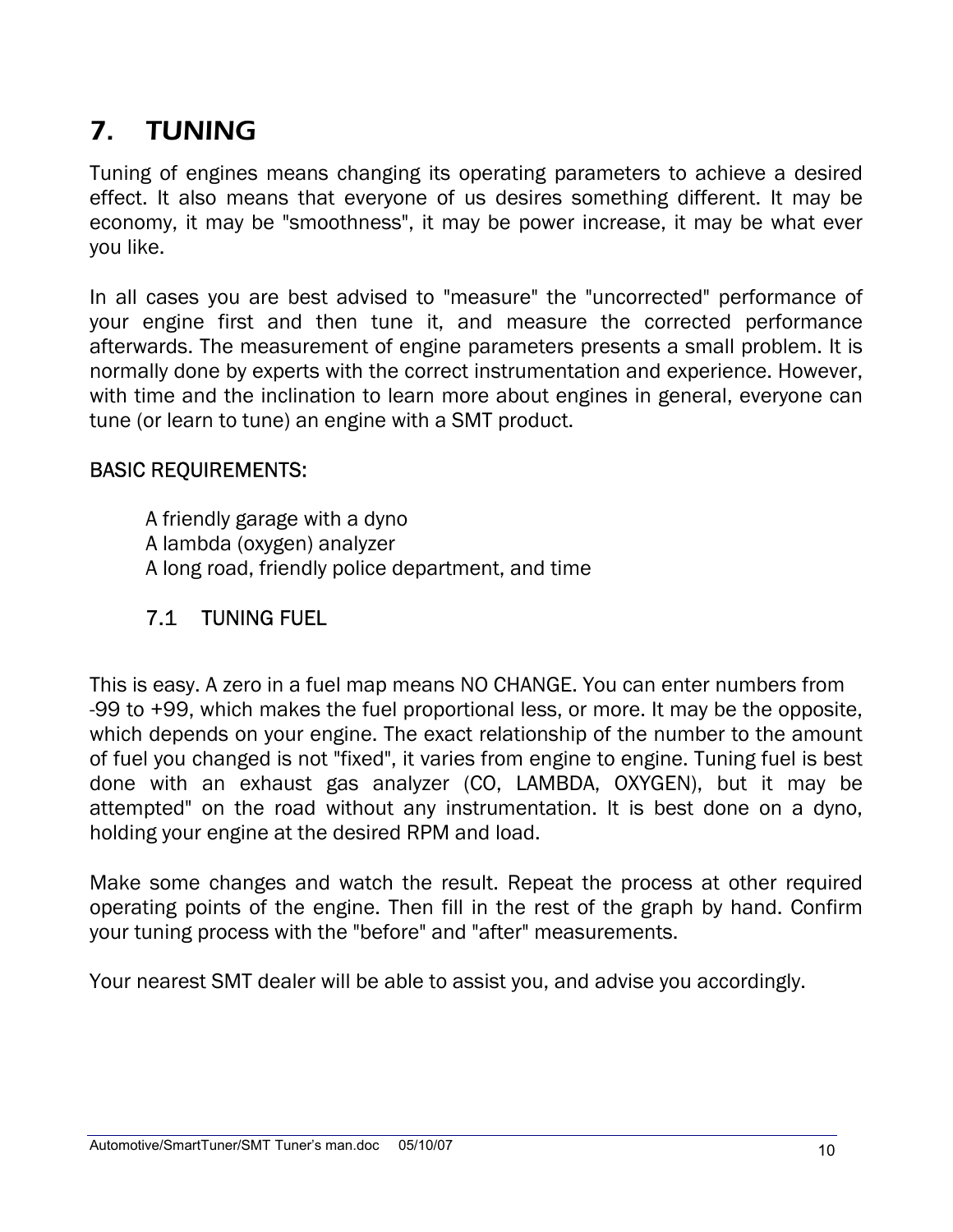## 7. TUNING

Tuning of engines means changing its operating parameters to achieve a desired effect. It also means that everyone of us desires something different. It may be economy, it may be "smoothness", it may be power increase, it may be what ever you like.

In all cases you are best advised to "measure" the "uncorrected" performance of your engine first and then tune it, and measure the corrected performance afterwards. The measurement of engine parameters presents a small problem. It is normally done by experts with the correct instrumentation and experience. However, with time and the inclination to learn more about engines in general, everyone can tune (or learn to tune) an engine with a SMT product.

#### BASIC REQUIREMENTS:

A friendly garage with a dyno A lambda (oxygen) analyzer A long road, friendly police department, and time

## 7.1 TUNING FUEL

This is easy. A zero in a fuel map means NO CHANGE. You can enter numbers from -99 to +99, which makes the fuel proportional less, or more. It may be the opposite, which depends on your engine. The exact relationship of the number to the amount of fuel you changed is not "fixed", it varies from engine to engine. Tuning fuel is best done with an exhaust gas analyzer (CO, LAMBDA, OXYGEN), but it may be attempted" on the road without any instrumentation. It is best done on a dyno, holding your engine at the desired RPM and load.

Make some changes and watch the result. Repeat the process at other required operating points of the engine. Then fill in the rest of the graph by hand. Confirm your tuning process with the "before" and "after" measurements.

Your nearest SMT dealer will be able to assist you, and advise you accordingly.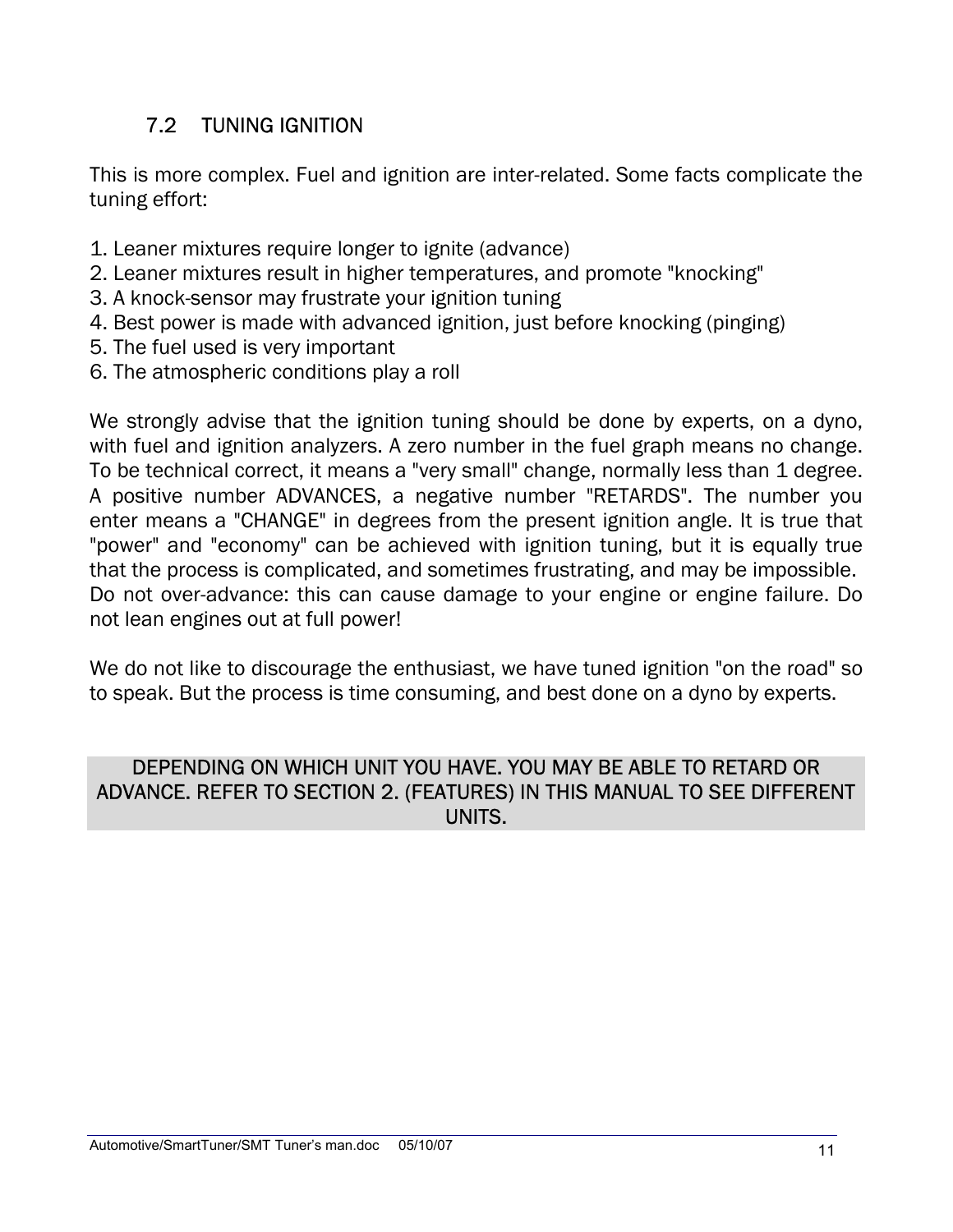## 7.2 TUNING IGNITION

This is more complex. Fuel and ignition are inter-related. Some facts complicate the tuning effort:

- 1. Leaner mixtures require longer to ignite (advance)
- 2. Leaner mixtures result in higher temperatures, and promote "knocking"
- 3. A knock-sensor may frustrate your ignition tuning
- 4. Best power is made with advanced ignition, just before knocking (pinging)
- 5. The fuel used is very important
- 6. The atmospheric conditions play a roll

We strongly advise that the ignition tuning should be done by experts, on a dyno, with fuel and ignition analyzers. A zero number in the fuel graph means no change. To be technical correct, it means a "very small" change, normally less than 1 degree. A positive number ADVANCES, a negative number "RETARDS". The number you enter means a "CHANGE" in degrees from the present ignition angle. It is true that "power" and "economy" can be achieved with ignition tuning, but it is equally true that the process is complicated, and sometimes frustrating, and may be impossible. Do not over-advance: this can cause damage to your engine or engine failure. Do not lean engines out at full power!

We do not like to discourage the enthusiast, we have tuned ignition "on the road" so to speak. But the process is time consuming, and best done on a dyno by experts.

#### DEPENDING ON WHICH UNIT YOU HAVE. YOU MAY BE ABLE TO RETARD OR ADVANCE. REFER TO SECTION 2. (FEATURES) IN THIS MANUAL TO SEE DIFFERENT UNITS.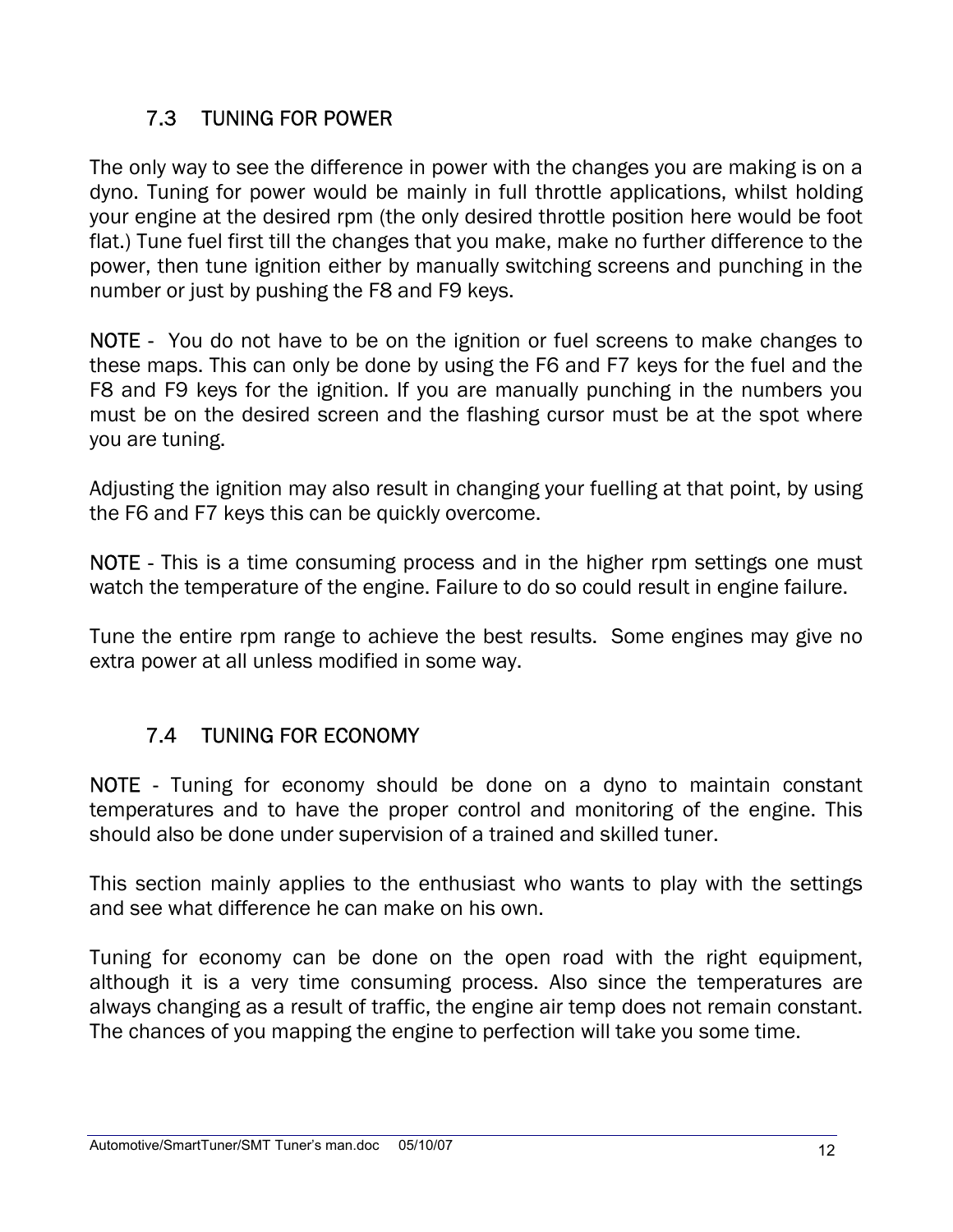## 7.3 TUNING FOR POWER

The only way to see the difference in power with the changes you are making is on a dyno. Tuning for power would be mainly in full throttle applications, whilst holding your engine at the desired rpm (the only desired throttle position here would be foot flat.) Tune fuel first till the changes that you make, make no further difference to the power, then tune ignition either by manually switching screens and punching in the number or just by pushing the F8 and F9 keys.

NOTE - You do not have to be on the ignition or fuel screens to make changes to these maps. This can only be done by using the F6 and F7 keys for the fuel and the F8 and F9 keys for the ignition. If you are manually punching in the numbers you must be on the desired screen and the flashing cursor must be at the spot where you are tuning.

Adjusting the ignition may also result in changing your fuelling at that point, by using the F6 and F7 keys this can be quickly overcome.

NOTE - This is a time consuming process and in the higher rpm settings one must watch the temperature of the engine. Failure to do so could result in engine failure.

Tune the entire rpm range to achieve the best results. Some engines may give no extra power at all unless modified in some way.

## 7.4 TUNING FOR ECONOMY

NOTE - Tuning for economy should be done on a dyno to maintain constant temperatures and to have the proper control and monitoring of the engine. This should also be done under supervision of a trained and skilled tuner.

This section mainly applies to the enthusiast who wants to play with the settings and see what difference he can make on his own.

Tuning for economy can be done on the open road with the right equipment, although it is a very time consuming process. Also since the temperatures are always changing as a result of traffic, the engine air temp does not remain constant. The chances of you mapping the engine to perfection will take you some time.